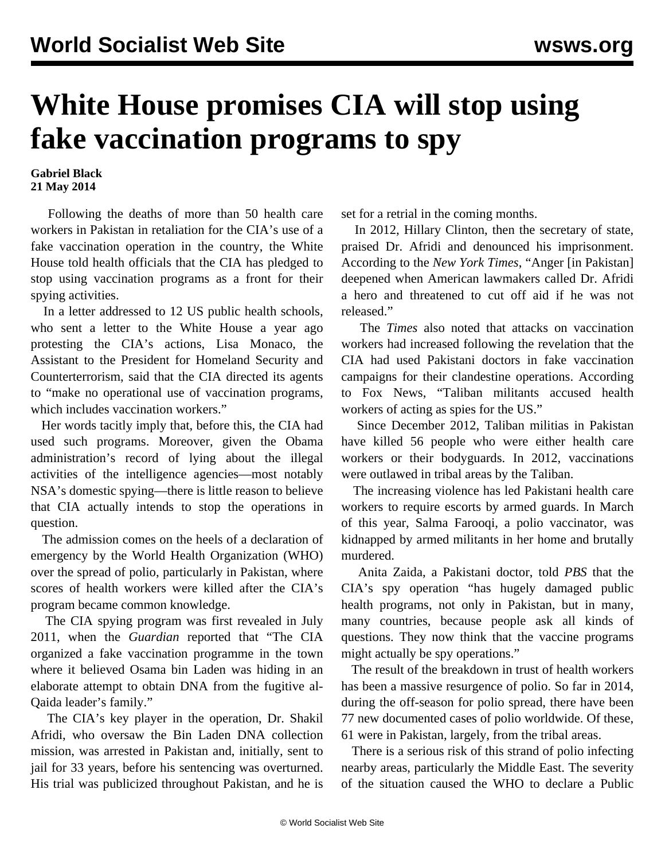## **White House promises CIA will stop using fake vaccination programs to spy**

## **Gabriel Black 21 May 2014**

 Following the deaths of more than 50 health care workers in Pakistan in retaliation for the CIA's use of a fake vaccination operation in the country, the White House told health officials that the CIA has pledged to stop using vaccination programs as a front for their spying activities.

 In a letter addressed to 12 US public health schools, who sent a letter to the White House a year ago protesting the CIA's actions, Lisa Monaco, the Assistant to the President for Homeland Security and Counterterrorism, said that the CIA directed its agents to "make no operational use of vaccination programs, which includes vaccination workers."

 Her words tacitly imply that, before this, the CIA had used such programs. Moreover, given the Obama administration's record of lying about the illegal activities of the intelligence agencies—most notably NSA's domestic spying—there is little reason to believe that CIA actually intends to stop the operations in question.

 The admission comes on the heels of a declaration of emergency by the World Health Organization (WHO) over the spread of polio, particularly in Pakistan, where scores of health workers were killed after the CIA's program became common knowledge.

 The CIA spying program was first revealed in July 2011, when the *Guardian* reported that "The CIA organized a fake vaccination programme in the town where it believed Osama bin Laden was hiding in an elaborate attempt to obtain DNA from the fugitive al-Qaida leader's family."

 The CIA's key player in the operation, Dr. Shakil Afridi, who oversaw the Bin Laden DNA collection mission, was arrested in Pakistan and, initially, sent to jail for 33 years, before his sentencing was overturned. His trial was publicized throughout Pakistan, and he is set for a retrial in the coming months.

 In 2012, Hillary Clinton, then the secretary of state, praised Dr. Afridi and denounced his imprisonment. According to the *New York Times*, "Anger [in Pakistan] deepened when American lawmakers called Dr. Afridi a hero and threatened to cut off aid if he was not released."

 The *Times* also noted that attacks on vaccination workers had increased following the revelation that the CIA had used Pakistani doctors in fake vaccination campaigns for their clandestine operations. According to Fox News, "Taliban militants accused health workers of acting as spies for the US."

 Since December 2012, Taliban militias in Pakistan have killed 56 people who were either health care workers or their bodyguards. In 2012, vaccinations were outlawed in tribal areas by the Taliban.

 The increasing violence has led Pakistani health care workers to require escorts by armed guards. In March of this year, Salma Farooqi, a polio vaccinator, was kidnapped by armed militants in her home and brutally murdered.

 Anita Zaida, a Pakistani doctor, told *PBS* that the CIA's spy operation "has hugely damaged public health programs, not only in Pakistan, but in many, many countries, because people ask all kinds of questions. They now think that the vaccine programs might actually be spy operations."

 The result of the breakdown in trust of health workers has been a massive resurgence of polio. So far in 2014, during the off-season for polio spread, there have been 77 new documented cases of polio worldwide. Of these, 61 were in Pakistan, largely, from the tribal areas.

 There is a serious risk of this strand of polio infecting nearby areas, particularly the Middle East. The severity of the situation caused the WHO to declare a Public